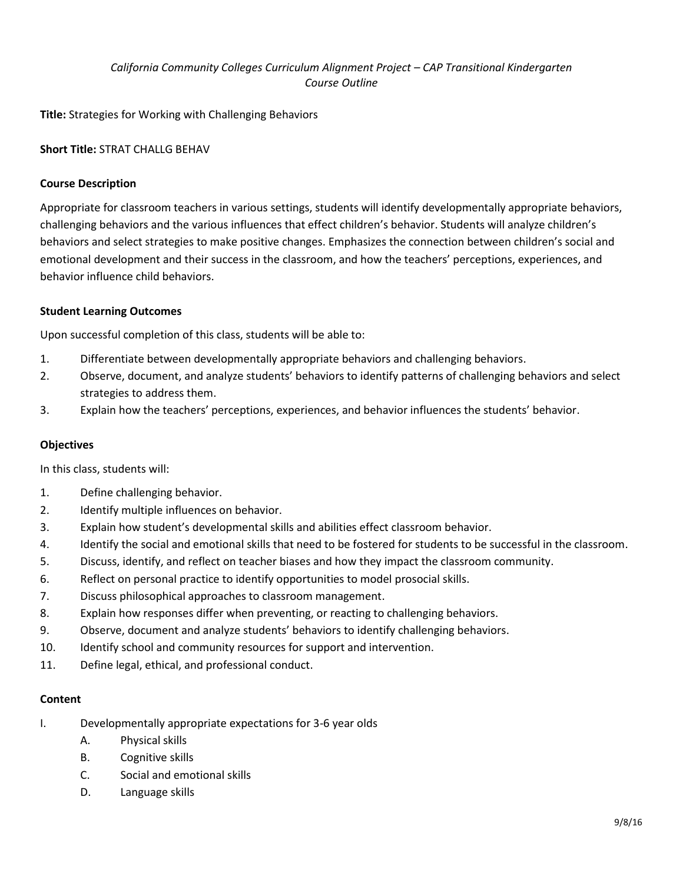# *California Community Colleges Curriculum Alignment Project – CAP Transitional Kindergarten Course Outline*

**Title:** Strategies for Working with Challenging Behaviors

# **Short Title:** STRAT CHALLG BEHAV

# **Course Description**

Appropriate for classroom teachers in various settings, students will identify developmentally appropriate behaviors, challenging behaviors and the various influences that effect children's behavior. Students will analyze children's behaviors and select strategies to make positive changes. Emphasizes the connection between children's social and emotional development and their success in the classroom, and how the teachers' perceptions, experiences, and behavior influence child behaviors.

#### **Student Learning Outcomes**

Upon successful completion of this class, students will be able to:

- 1. Differentiate between developmentally appropriate behaviors and challenging behaviors.
- 2. Observe, document, and analyze students' behaviors to identify patterns of challenging behaviors and select strategies to address them.
- 3. Explain how the teachers' perceptions, experiences, and behavior influences the students' behavior.

# **Objectives**

In this class, students will:

- 1. Define challenging behavior.
- 2. Identify multiple influences on behavior.
- 3. Explain how student's developmental skills and abilities effect classroom behavior.
- 4. Identify the social and emotional skills that need to be fostered for students to be successful in the classroom.
- 5. Discuss, identify, and reflect on teacher biases and how they impact the classroom community.
- 6. Reflect on personal practice to identify opportunities to model prosocial skills.
- 7. Discuss philosophical approaches to classroom management.
- 8. Explain how responses differ when preventing, or reacting to challenging behaviors.
- 9. Observe, document and analyze students' behaviors to identify challenging behaviors.
- 10. Identify school and community resources for support and intervention.
- 11. Define legal, ethical, and professional conduct.

#### **Content**

- I. Developmentally appropriate expectations for 3-6 year olds
	- A. Physical skills
	- B. Cognitive skills
	- C. Social and emotional skills
	- D. Language skills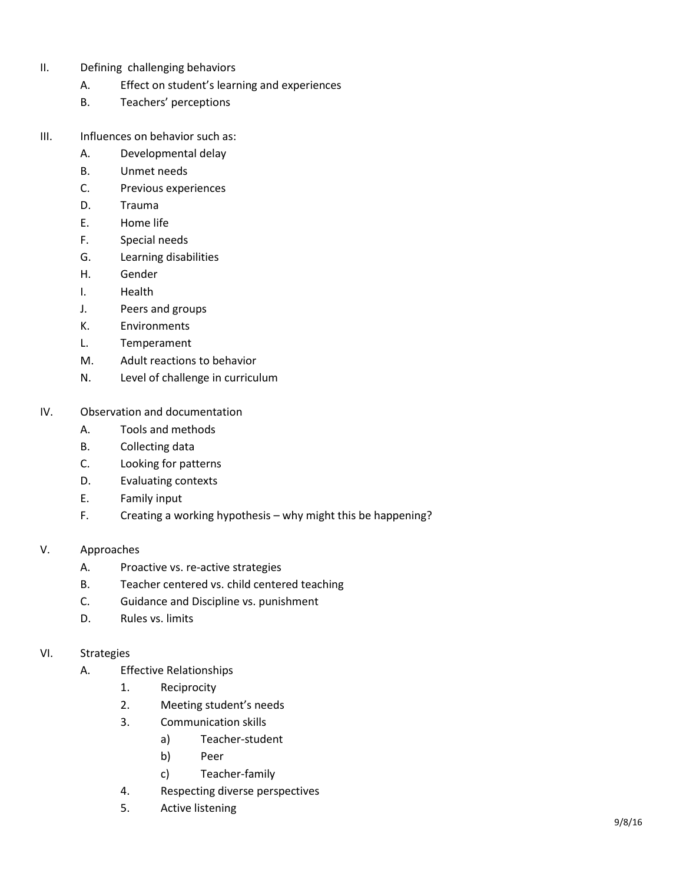- II. Defining challenging behaviors
	- A. Effect on student's learning and experiences
	- B. Teachers' perceptions
- III. Influences on behavior such as:
	- A. Developmental delay
	- B. Unmet needs
	- C. Previous experiences
	- D. Trauma
	- E. Home life
	- F. Special needs
	- G. Learning disabilities
	- H. Gender
	- I. Health
	- J. Peers and groups
	- K. Environments
	- L. Temperament
	- M. Adult reactions to behavior
	- N. Level of challenge in curriculum
- IV. Observation and documentation
	- A. Tools and methods
	- B. Collecting data
	- C. Looking for patterns
	- D. Evaluating contexts
	- E. Family input
	- F. Creating a working hypothesis why might this be happening?
- V. Approaches
	- A. Proactive vs. re-active strategies
	- B. Teacher centered vs. child centered teaching
	- C. Guidance and Discipline vs. punishment
	- D. Rules vs. limits

#### VI. Strategies

- A. Effective Relationships
	- 1. Reciprocity
	- 2. Meeting student's needs
	- 3. Communication skills
		- a) Teacher-student
		- b) Peer
		- c) Teacher-family
	- 4. Respecting diverse perspectives
	- 5. Active listening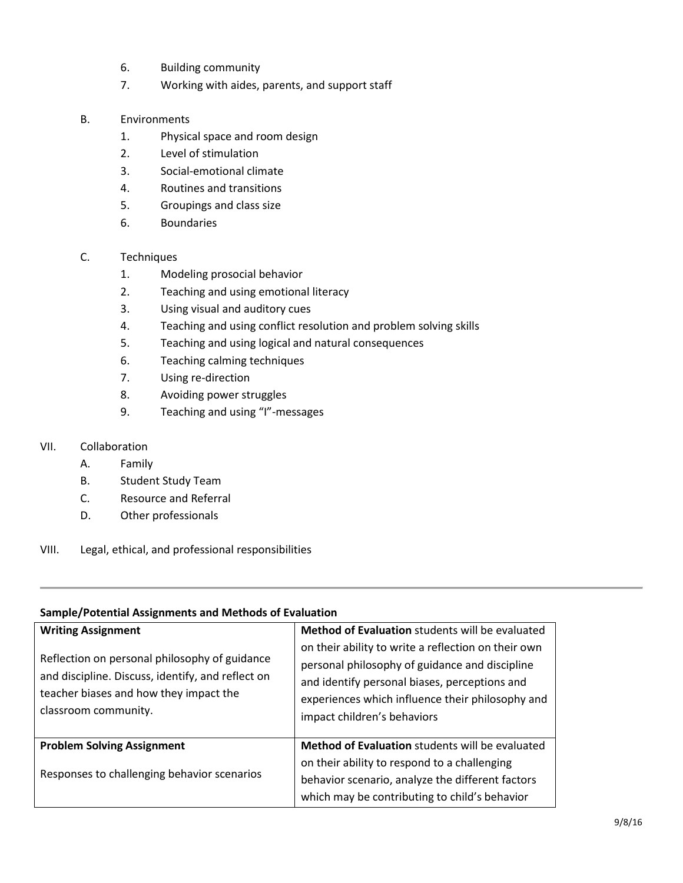- 6. Building community
- 7. Working with aides, parents, and support staff
- B. Environments
	- 1. Physical space and room design
	- 2. Level of stimulation
	- 3. Social-emotional climate
	- 4. Routines and transitions
	- 5. Groupings and class size
	- 6. Boundaries
- C. Techniques
	- 1. Modeling prosocial behavior
	- 2. Teaching and using emotional literacy
	- 3. Using visual and auditory cues
	- 4. Teaching and using conflict resolution and problem solving skills
	- 5. Teaching and using logical and natural consequences
	- 6. Teaching calming techniques
	- 7. Using re-direction
	- 8. Avoiding power struggles
	- 9. Teaching and using "I"-messages

# VII. Collaboration

#### A. Family

- B. Student Study Team
- C. Resource and Referral
- D. Other professionals
- VIII. Legal, ethical, and professional responsibilities

#### **Sample/Potential Assignments and Methods of Evaluation**

| <b>Writing Assignment</b><br>Reflection on personal philosophy of guidance<br>and discipline. Discuss, identify, and reflect on<br>teacher biases and how they impact the<br>classroom community. | <b>Method of Evaluation</b> students will be evaluated<br>on their ability to write a reflection on their own<br>personal philosophy of guidance and discipline<br>and identify personal biases, perceptions and<br>experiences which influence their philosophy and<br>impact children's behaviors |
|---------------------------------------------------------------------------------------------------------------------------------------------------------------------------------------------------|-----------------------------------------------------------------------------------------------------------------------------------------------------------------------------------------------------------------------------------------------------------------------------------------------------|
| <b>Problem Solving Assignment</b><br>Responses to challenging behavior scenarios                                                                                                                  | <b>Method of Evaluation</b> students will be evaluated<br>on their ability to respond to a challenging<br>behavior scenario, analyze the different factors<br>which may be contributing to child's behavior                                                                                         |